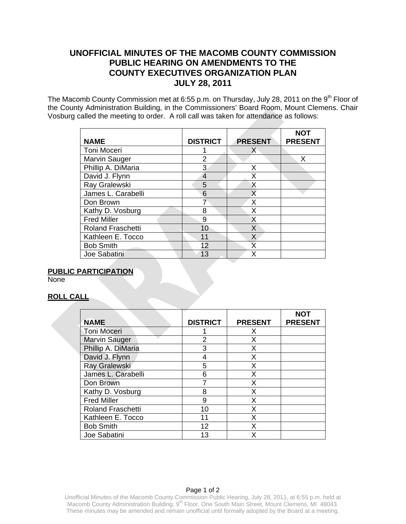# **UNOFFICIAL MINUTES OF THE MACOMB COUNTY COMMISSION PUBLIC HEARING ON AMENDMENTS TO THE COUNTY EXECUTIVES ORGANIZATION PLAN JULY 28, 2011**

The Macomb County Commission met at 6:55 p.m. on Thursday, July 28, 2011 on the 9<sup>th</sup> Floor of the County Administration Building, in the Commissioners' Board Room, Mount Clemens. Chair Vosburg called the meeting to order. A roll call was taken for attendance as follows:

| <b>NAME</b>              | <b>DISTRICT</b> | <b>PRESENT</b> | <b>NOT</b><br><b>PRESENT</b> |
|--------------------------|-----------------|----------------|------------------------------|
| Toni Moceri              |                 | X              |                              |
| Marvin Sauger            | 2               |                | X                            |
| Phillip A. DiMaria       | 3               | X              |                              |
| David J. Flynn           | $\overline{4}$  | Χ              |                              |
| Ray Gralewski            | 5               | X              |                              |
| James L. Carabelli       | 6               | X              |                              |
| Don Brown                | 7               | X              |                              |
| Kathy D. Vosburg         | 8               | X              |                              |
| <b>Fred Miller</b>       | 9               | X              |                              |
| <b>Roland Fraschetti</b> | 10              | X              |                              |
| Kathleen E. Tocco        | 11              | X              |                              |
| <b>Bob Smith</b>         | 12              | X              |                              |
| Joe Sabatini             | 13              | γ              |                              |

## **PUBLIC PARTICIPATION**

None

## **ROLL CALL**

|                          |                 |                | <b>NOT</b>     |
|--------------------------|-----------------|----------------|----------------|
| <b>NAME</b>              | <b>DISTRICT</b> | <b>PRESENT</b> | <b>PRESENT</b> |
| <b>Toni Moceri</b>       |                 | X              |                |
| <b>Marvin Sauger</b>     | 2               | X              |                |
| Phillip A. DiMaria       | 3               | X              |                |
| David J. Flynn           |                 | Χ              |                |
| <b>Ray Gralewski</b>     | 5               | X              |                |
| James L. Carabelli       | 6               | X              |                |
| Don Brown                |                 | X              |                |
| Kathy D. Vosburg         | 8               | X              |                |
| <b>Fred Miller</b>       | 9               | X              |                |
| <b>Roland Fraschetti</b> | 10              | X              |                |
| Kathleen E. Tocco        | 11              | X              |                |
| <b>Bob Smith</b>         | 12              | X              |                |
| Joe Sabatini             | 13              |                |                |

#### Page 1 of 2

Unofficial Minutes of the Macomb County Commission Public Hearing, July 28, 2011, at 6:55 p.m. held at Macomb County Administration Building, 9<sup>th</sup> Floor, One South Main Street, Mount Clemens, MI 48043. These minutes may be amended and remain unofficial until formally adopted by the Board at a meeting.